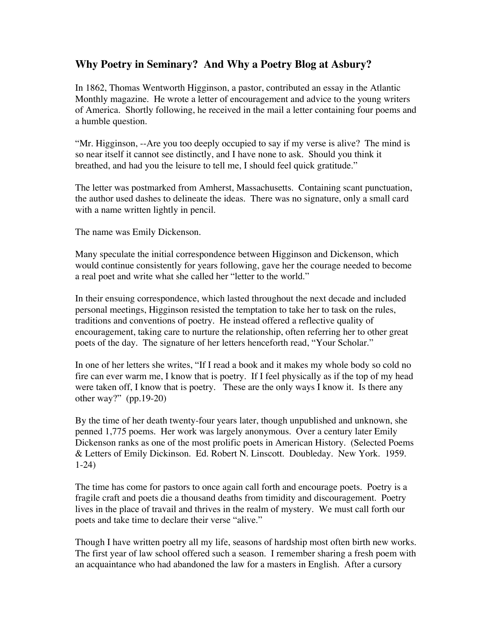# **Why Poetry in Seminary? And Why a Poetry Blog at Asbury?**

In 1862, Thomas Wentworth Higginson, a pastor, contributed an essay in the Atlantic Monthly magazine. He wrote a letter of encouragement and advice to the young writers of America. Shortly following, he received in the mail a letter containing four poems and a humble question.

"Mr. Higginson, --Are you too deeply occupied to say if my verse is alive? The mind is so near itself it cannot see distinctly, and I have none to ask. Should you think it breathed, and had you the leisure to tell me, I should feel quick gratitude."

The letter was postmarked from Amherst, Massachusetts. Containing scant punctuation, the author used dashes to delineate the ideas. There was no signature, only a small card with a name written lightly in pencil.

The name was Emily Dickenson.

Many speculate the initial correspondence between Higginson and Dickenson, which would continue consistently for years following, gave her the courage needed to become a real poet and write what she called her "letter to the world."

In their ensuing correspondence, which lasted throughout the next decade and included personal meetings, Higginson resisted the temptation to take her to task on the rules, traditions and conventions of poetry. He instead offered a reflective quality of encouragement, taking care to nurture the relationship, often referring her to other great poets of the day. The signature of her letters henceforth read, "Your Scholar."

In one of her letters she writes, "If I read a book and it makes my whole body so cold no fire can ever warm me, I know that is poetry. If I feel physically as if the top of my head were taken off, I know that is poetry. These are the only ways I know it. Is there any other way?" (pp.19-20)

By the time of her death twenty-four years later, though unpublished and unknown, she penned 1,775 poems. Her work was largely anonymous. Over a century later Emily Dickenson ranks as one of the most prolific poets in American History. (Selected Poems & Letters of Emily Dickinson. Ed. Robert N. Linscott. Doubleday. New York. 1959. 1-24)

The time has come for pastors to once again call forth and encourage poets. Poetry is a fragile craft and poets die a thousand deaths from timidity and discouragement. Poetry lives in the place of travail and thrives in the realm of mystery. We must call forth our poets and take time to declare their verse "alive."

Though I have written poetry all my life, seasons of hardship most often birth new works. The first year of law school offered such a season. I remember sharing a fresh poem with an acquaintance who had abandoned the law for a masters in English. After a cursory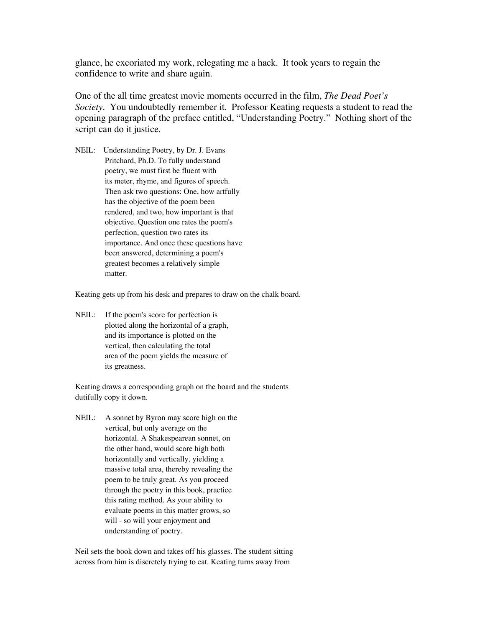glance, he excoriated my work, relegating me a hack. It took years to regain the confidence to write and share again.

One of the all time greatest movie moments occurred in the film, *The Dead Poet's Society*. You undoubtedly remember it. Professor Keating requests a student to read the opening paragraph of the preface entitled, "Understanding Poetry." Nothing short of the script can do it justice.

NEIL: Understanding Poetry, by Dr. J. Evans Pritchard, Ph.D. To fully understand poetry, we must first be fluent with its meter, rhyme, and figures of speech. Then ask two questions: One, how artfully has the objective of the poem been rendered, and two, how important is that objective. Question one rates the poem's perfection, question two rates its importance. And once these questions have been answered, determining a poem's greatest becomes a relatively simple matter.

Keating gets up from his desk and prepares to draw on the chalk board.

NEIL: If the poem's score for perfection is plotted along the horizontal of a graph, and its importance is plotted on the vertical, then calculating the total area of the poem yields the measure of its greatness.

Keating draws a corresponding graph on the board and the students dutifully copy it down.

NEIL: A sonnet by Byron may score high on the vertical, but only average on the horizontal. A Shakespearean sonnet, on the other hand, would score high both horizontally and vertically, yielding a massive total area, thereby revealing the poem to be truly great. As you proceed through the poetry in this book, practice this rating method. As your ability to evaluate poems in this matter grows, so will - so will your enjoyment and understanding of poetry.

Neil sets the book down and takes off his glasses. The student sitting across from him is discretely trying to eat. Keating turns away from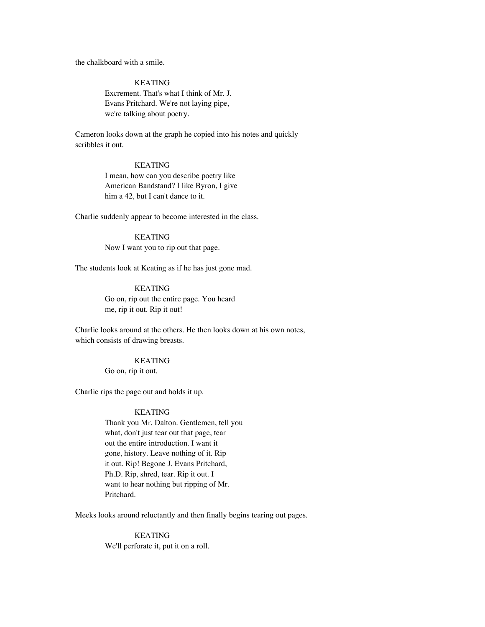the chalkboard with a smile.

# KEATING

 Excrement. That's what I think of Mr. J. Evans Pritchard. We're not laying pipe, we're talking about poetry.

Cameron looks down at the graph he copied into his notes and quickly scribbles it out.

# KEATING

 I mean, how can you describe poetry like American Bandstand? I like Byron, I give him a 42, but I can't dance to it.

Charlie suddenly appear to become interested in the class.

# KEATING Now I want you to rip out that page.

The students look at Keating as if he has just gone mad.

 KEATING Go on, rip out the entire page. You heard me, rip it out. Rip it out!

Charlie looks around at the others. He then looks down at his own notes, which consists of drawing breasts.

# KEATING

Go on, rip it out.

Charlie rips the page out and holds it up.

#### KEATING

 Thank you Mr. Dalton. Gentlemen, tell you what, don't just tear out that page, tear out the entire introduction. I want it gone, history. Leave nothing of it. Rip it out. Rip! Begone J. Evans Pritchard, Ph.D. Rip, shred, tear. Rip it out. I want to hear nothing but ripping of Mr. Pritchard.

Meeks looks around reluctantly and then finally begins tearing out pages.

 KEATING We'll perforate it, put it on a roll.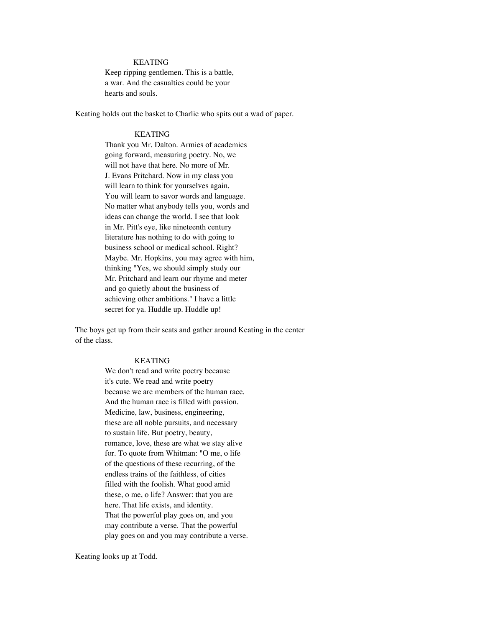#### KEATING

 Keep ripping gentlemen. This is a battle, a war. And the casualties could be your hearts and souls.

Keating holds out the basket to Charlie who spits out a wad of paper.

# KEATING

 Thank you Mr. Dalton. Armies of academics going forward, measuring poetry. No, we will not have that here. No more of Mr. J. Evans Pritchard. Now in my class you will learn to think for yourselves again. You will learn to savor words and language. No matter what anybody tells you, words and ideas can change the world. I see that look in Mr. Pitt's eye, like nineteenth century literature has nothing to do with going to business school or medical school. Right? Maybe. Mr. Hopkins, you may agree with him, thinking "Yes, we should simply study our Mr. Pritchard and learn our rhyme and meter and go quietly about the business of achieving other ambitions." I have a little secret for ya. Huddle up. Huddle up!

The boys get up from their seats and gather around Keating in the center of the class.

# KEATING

 We don't read and write poetry because it's cute. We read and write poetry because we are members of the human race. And the human race is filled with passion. Medicine, law, business, engineering, these are all noble pursuits, and necessary to sustain life. But poetry, beauty, romance, love, these are what we stay alive for. To quote from Whitman: "O me, o life of the questions of these recurring, of the endless trains of the faithless, of cities filled with the foolish. What good amid these, o me, o life? Answer: that you are here. That life exists, and identity. That the powerful play goes on, and you may contribute a verse. That the powerful play goes on and you may contribute a verse.

Keating looks up at Todd.